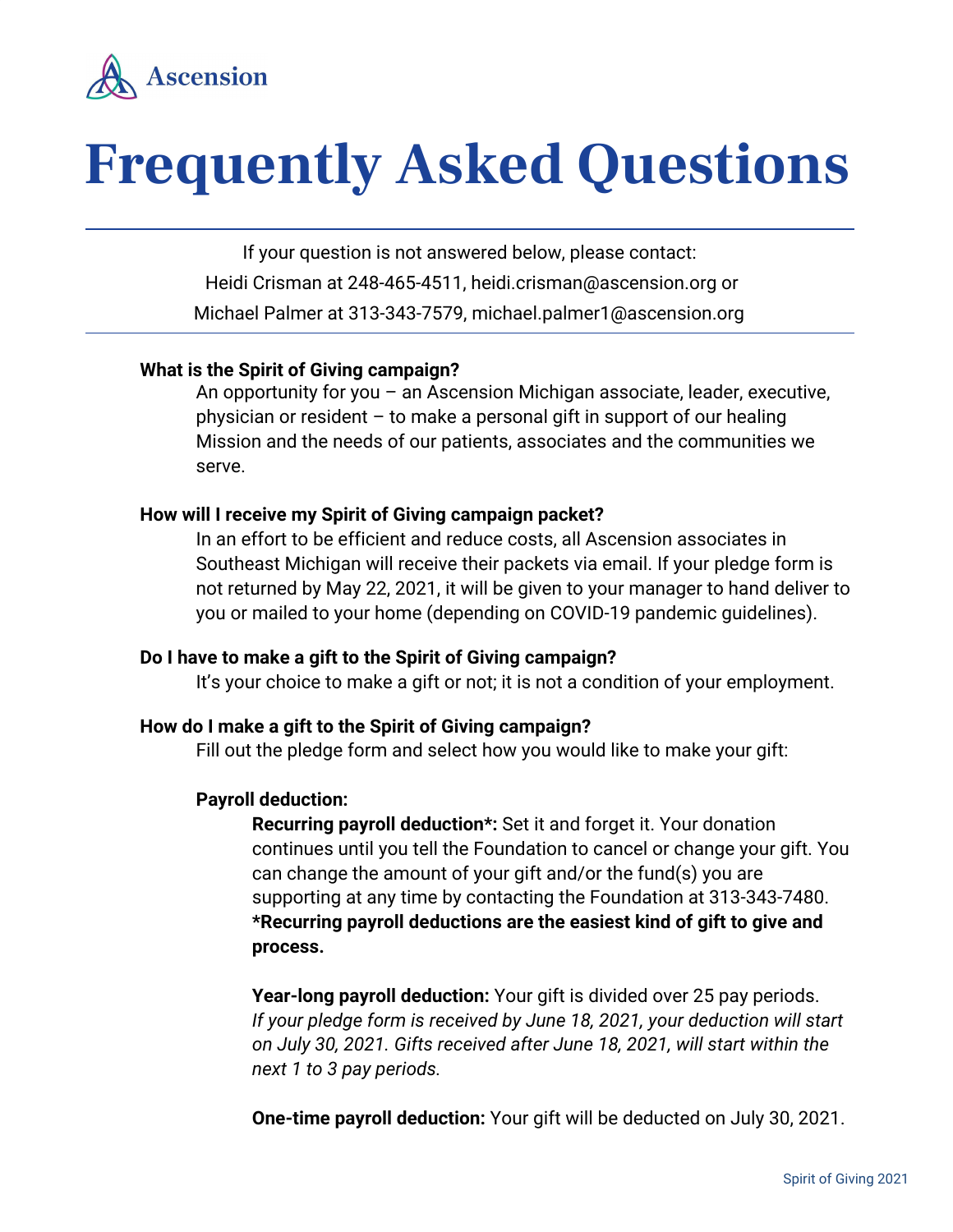

# **Frequently Asked Questions**

If your question is not answered below, please contact: Heidi Crisman at 248-465-4511, heidi.crisman@ascension.org or Michael Palmer at 313-343-7579, michael.palmer1@ascension.org

## **What is the Spirit of Giving campaign?**

An opportunity for you – an Ascension Michigan associate, leader, executive, physician or resident – to make a personal gift in support of our healing Mission and the needs of our patients, associates and the communities we serve.

#### **How will I receive my Spirit of Giving campaign packet?**

In an effort to be efficient and reduce costs, all Ascension associates in Southeast Michigan will receive their packets via email. If your pledge form is not returned by May 22, 2021, it will be given to your manager to hand deliver to you or mailed to your home (depending on COVID-19 pandemic guidelines).

#### **Do I have to make a gift to the Spirit of Giving campaign?**

It's your choice to make a gift or not; it is not a condition of your employment.

#### **How do I make a gift to the Spirit of Giving campaign?**

Fill out the pledge form and select how you would like to make your gift:

#### **Payroll deduction:**

**Recurring payroll deduction\*:** Set it and forget it. Your donation continues until you tell the Foundation to cancel or change your gift. You can change the amount of your gift and/or the fund(s) you are supporting at any time by contacting the Foundation at 313-343-7480. **\*Recurring payroll deductions are the easiest kind of gift to give and process.**

**Year-long payroll deduction:** Your gift is divided over 25 pay periods. *If your pledge form is received by June 18, 2021, your deduction will start on July 30, 2021. Gifts received after June 18, 2021, will start within the next 1 to 3 pay periods.*

**One-time payroll deduction:** Your gift will be deducted on July 30, 2021.